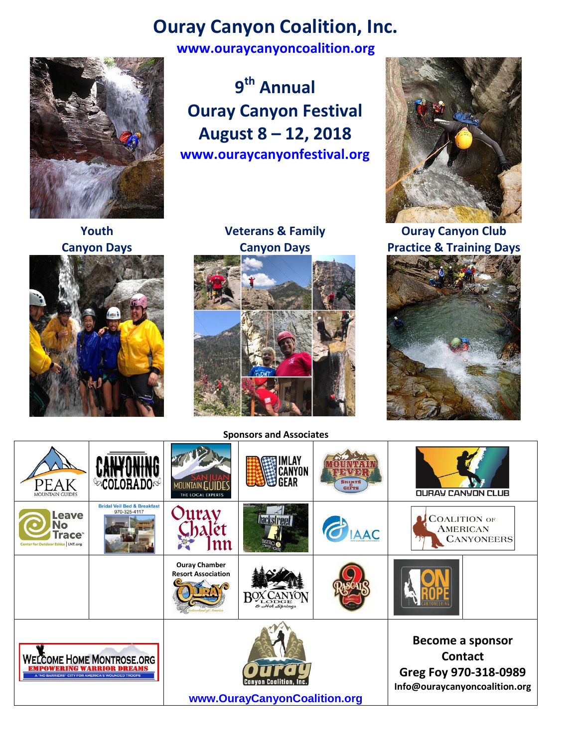## **Ouray Canyon Coalition, Inc.**

**[www.ouraycanyoncoalition.org](http://www.ouraycanyoncoalition.org/)**



**Youth**



**9 th Annual Ouray Canyon Festival August 8 – 12, 2018 www.ouraycanyonfestival.org**

**Veterans & Family Canyon Days**



**Sponsors and Associates**



**Ouray Canyon Club Practice & Training Days**



| <b>PEAK</b><br><b>MOUNTAIN GUIDES</b>                                                                        |                                                        | MOUNTAIN GUID<br>THE LOCAL EXPERTS                       | ILAY<br>CANYON<br>GEAR  | SHIRTS<br>GIFTS | <b>OURAY CANYON CLUB</b>                                                                     |
|--------------------------------------------------------------------------------------------------------------|--------------------------------------------------------|----------------------------------------------------------|-------------------------|-----------------|----------------------------------------------------------------------------------------------|
| Leave<br><b>No</b><br><b>Trace</b><br><b>Center for Outdoor Ethics   LNT.org</b>                             | <b>Bridal Veil Bed &amp; Breakfast</b><br>970-325-4117 | 12                                                       | <b>hackstreet</b>       | <b>O</b> IAAC   | <b>COALITION OF</b><br><b>AMERICAN</b><br><b>CANYONEERS</b>                                  |
|                                                                                                              |                                                        | <b>Ouray Chamber</b><br><b>Resort Association</b>        | ODGE<br>$&$ Hot Springs |                 |                                                                                              |
| <b>WELCOME HOME MONTROSE.ORG</b><br>RING WARRIOR DREAMS<br>A "NO BARRIERS" CITY FOR AMERICA'S WOUNDED TROOPS |                                                        | <b>Canvon Coalition,</b><br>www.OurayCanyonCoalition.org |                         |                 | Become a sponsor<br><b>Contact</b><br>Greg Foy 970-318-0989<br>Info@ouraycanyoncoalition.org |